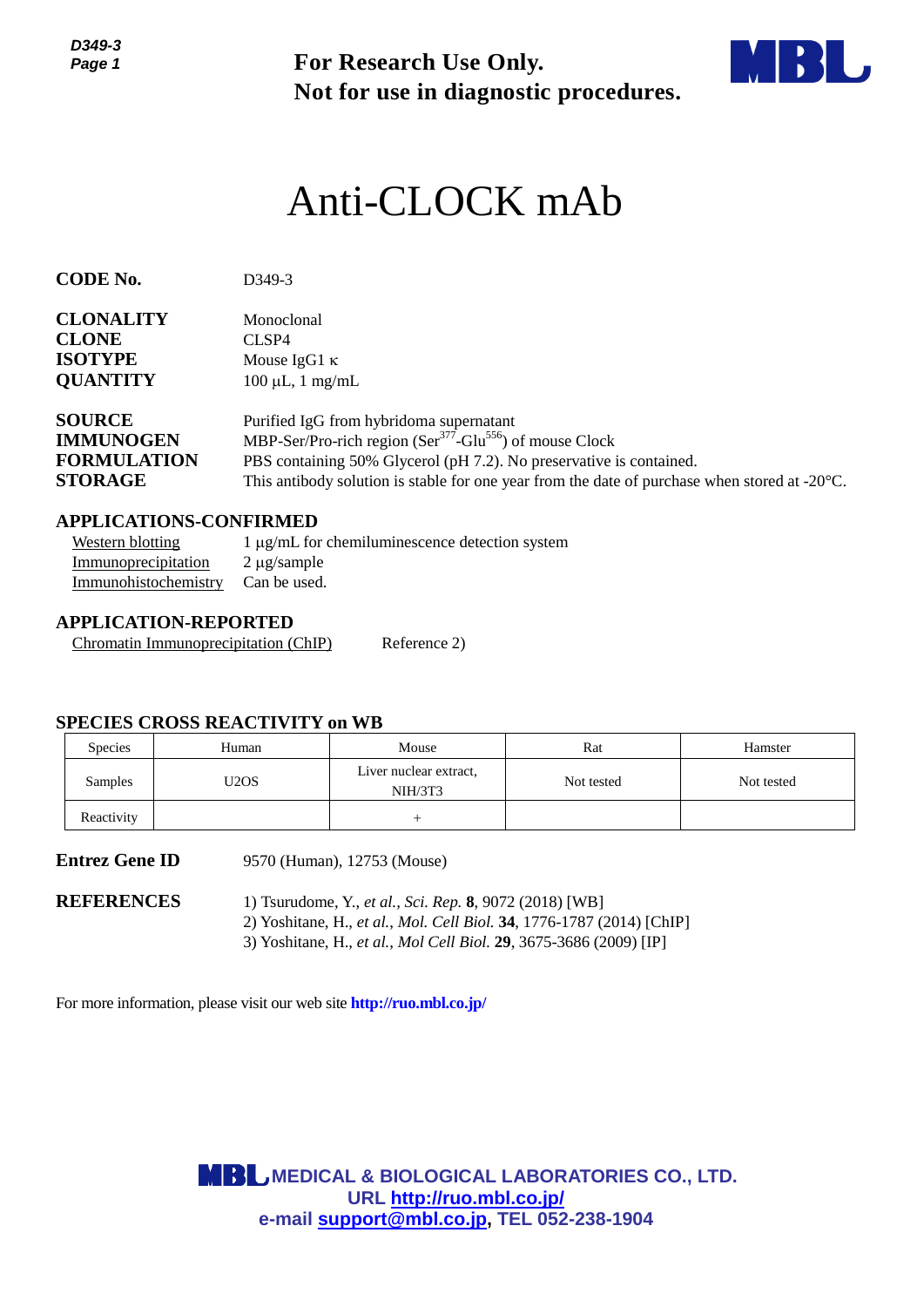*D349-3 Page 1*



# Anti-CLOCK mAb

| Page 1                                                                                                                                                                         |                                        | <b>For Research Use Only.</b><br>Not for use in diagnostic procedures.                                                                                                                                                                                                                                        |                   |                       |  |  |
|--------------------------------------------------------------------------------------------------------------------------------------------------------------------------------|----------------------------------------|---------------------------------------------------------------------------------------------------------------------------------------------------------------------------------------------------------------------------------------------------------------------------------------------------------------|-------------------|-----------------------|--|--|
|                                                                                                                                                                                |                                        | Anti-CLOCK mAb                                                                                                                                                                                                                                                                                                |                   |                       |  |  |
| <b>CODE No.</b>                                                                                                                                                                | D349-3                                 |                                                                                                                                                                                                                                                                                                               |                   |                       |  |  |
| <b>CLONALITY</b><br><b>CLONE</b><br><b>ISOTYPE</b><br><b>QUANTITY</b>                                                                                                          | Monoclonal<br>CLSP4                    | Mouse IgG1 $\kappa$<br>$100 \mu L$ , 1 mg/mL                                                                                                                                                                                                                                                                  |                   |                       |  |  |
| <b>SOURCE</b><br><b>IMMUNOGEN</b><br><b>FORMULATION</b><br><b>STORAGE</b>                                                                                                      |                                        | Purified IgG from hybridoma supernatant<br>MBP-Ser/Pro-rich region (Ser <sup>377</sup> -Glu <sup>556</sup> ) of mouse Clock<br>PBS containing 50% Glycerol (pH 7.2). No preservative is contained.<br>This antibody solution is stable for one year from the date of purchase when stored at $-20^{\circ}$ C. |                   |                       |  |  |
| <b>APPLICATIONS-CONFIRMED</b><br><b>Western blotting</b><br>Immunoprecipitation<br>Immunohistochemistry<br><b>APPLICATION-REPORTED</b><br>Chromatin Immunoprecipitation (ChIP) | $2 \mu$ g/sample<br>Can be used.       | 1 μg/mL for chemiluminescence detection system<br>Reference 2)                                                                                                                                                                                                                                                |                   |                       |  |  |
| <b>SPECIES CROSS REACTIVITY on WB</b>                                                                                                                                          |                                        |                                                                                                                                                                                                                                                                                                               |                   |                       |  |  |
| Species<br>Samples                                                                                                                                                             | Human<br>U <sub>2</sub> O <sub>S</sub> | Mouse<br>Liver nuclear extract,<br>NIH/3T3                                                                                                                                                                                                                                                                    | Rat<br>Not tested | Hamster<br>Not tested |  |  |
| Reactivity                                                                                                                                                                     |                                        | $^{+}$                                                                                                                                                                                                                                                                                                        |                   |                       |  |  |
| <b>Entrez Gene ID</b>                                                                                                                                                          |                                        | 9570 (Human), 12753 (Mouse)                                                                                                                                                                                                                                                                                   |                   |                       |  |  |
| <b>REFERENCES</b>                                                                                                                                                              |                                        | 1) Tsurudome, Y., et al., Sci. Rep. 8, 9072 (2018) [WB]<br>2) Yoshitane, H., et al., Mol. Cell Biol. 34, 1776-1787 (2014) [ChIP]<br>3) Yoshitane, H., et al., Mol Cell Biol. 29, 3675-3686 (2009) [IP]                                                                                                        |                   |                       |  |  |
| For more information, please visit our web site <b>http://ruo.mbl.co.jp/</b>                                                                                                   |                                        |                                                                                                                                                                                                                                                                                                               |                   |                       |  |  |
|                                                                                                                                                                                |                                        |                                                                                                                                                                                                                                                                                                               |                   |                       |  |  |
|                                                                                                                                                                                |                                        | <b>MBL MEDICAL &amp; BIOLOGICAL LABORATORIES CO., LTD.</b><br>URL http://ruo.mbl.co.jp/<br>e-mail support@mbl.co.jp, TEL 052-238-1904                                                                                                                                                                         |                   |                       |  |  |

# **APPLICATIONS-CONFIRMED**

| Western blotting                  | $1 \mu g/mL$ for chemiluminescence detection system |
|-----------------------------------|-----------------------------------------------------|
| Immunoprecipitation               | 2 µg/sample                                         |
| Immunohistochemistry Can be used. |                                                     |

## **APPLICATION-REPORTED**

#### **SPECIES CROSS REACTIVITY on WB**

| <b>Species</b> | Human | Mouse                             | Rat        | Hamster    |
|----------------|-------|-----------------------------------|------------|------------|
| <b>Samples</b> | U2OS  | Liver nuclear extract,<br>NIH/3T3 | Not tested | Not tested |
| Reactivity     |       |                                   |            |            |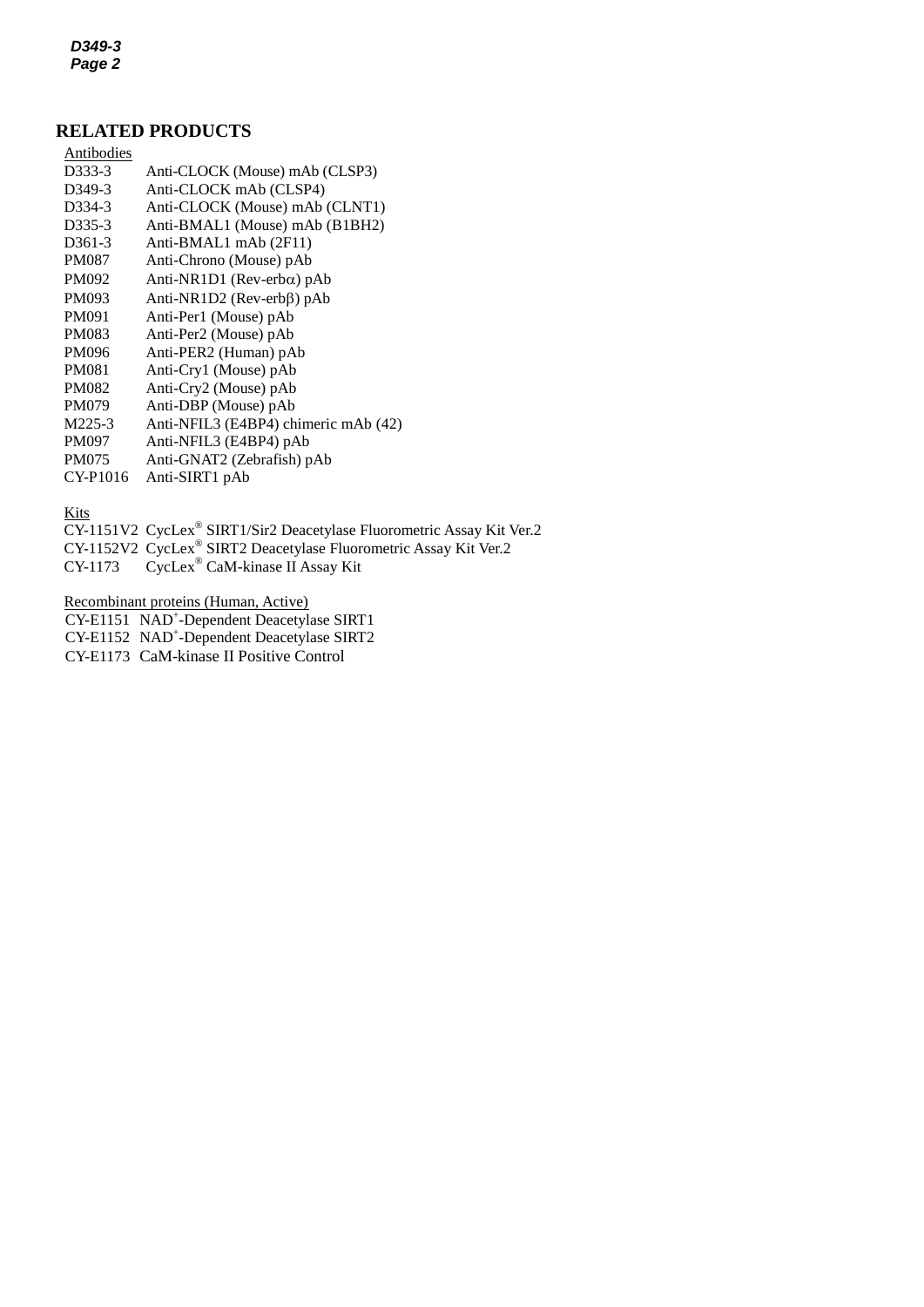*D349-3 Page 2*

# **RELATED PRODUCTS**

| Antibodies          |                                      |
|---------------------|--------------------------------------|
| D333-3              | Anti-CLOCK (Mouse) mAb (CLSP3)       |
| D <sub>349</sub> -3 | Anti-CLOCK mAb (CLSP4)               |
| D <sub>3</sub> 34-3 | Anti-CLOCK (Mouse) mAb (CLNT1)       |
| D <sub>335</sub> -3 | Anti-BMAL1 (Mouse) mAb (B1BH2)       |
| D <sub>361</sub> -3 | Anti-BMAL1 mAb (2F11)                |
| <b>PM087</b>        | Anti-Chrono (Mouse) pAb              |
| PM092               | Anti-NR1D1 (Rev-erb $\alpha$ ) pAb   |
| PM093               | Anti-NR1D2 (Rev-erbβ) pAb            |
| PM091               | Anti-Per1 (Mouse) pAb                |
| <b>PM083</b>        | Anti-Per2 (Mouse) pAb                |
| PM096               | Anti-PER2 (Human) pAb                |
| <b>PM081</b>        | Anti-Cry1 (Mouse) pAb                |
| <b>PM082</b>        | Anti-Cry2 (Mouse) pAb                |
| <b>PM079</b>        | Anti-DBP (Mouse) pAb                 |
| M225-3              | Anti-NFIL3 (E4BP4) chimeric mAb (42) |
| <b>PM097</b>        | Anti-NFIL3 (E4BP4) pAb               |
| <b>PM075</b>        | Anti-GNAT2 (Zebrafish) pAb           |
| CY-P1016            | Anti-SIRT1 pAb                       |
|                     |                                      |

**Kits** 

- CY-1151V2 CycLex® SIRT1/Sir2 Deacetylase Fluorometric Assay Kit Ver.2
- CY-1152V2 [CycLex](http://ruo.mbl.co.jp/dtl/P/CY-1152/)® SIRT2 Deacetylase Fluorometric Assay Kit Ver.2
- CY-1173 CycLex® [CaM-kinase II Assay Kit](http://ruo.mbl.co.jp/dtl/P/CY-1153/)

Recombinant proteins (Human, Active)

- CY-E1151 NAD<sup>+</sup>[-Dependent Deacetylase SIRT1](http://ruo.mbl.co.jp/dtl/P/CY-E1151/)
- CY-E1152 NAD<sup>+</sup>[-Dependent Deacetylase SIRT2](http://ruo.mbl.co.jp/dtl/P/CY-E1152/)
- CY-E1173 CaM-kinase II Positive Control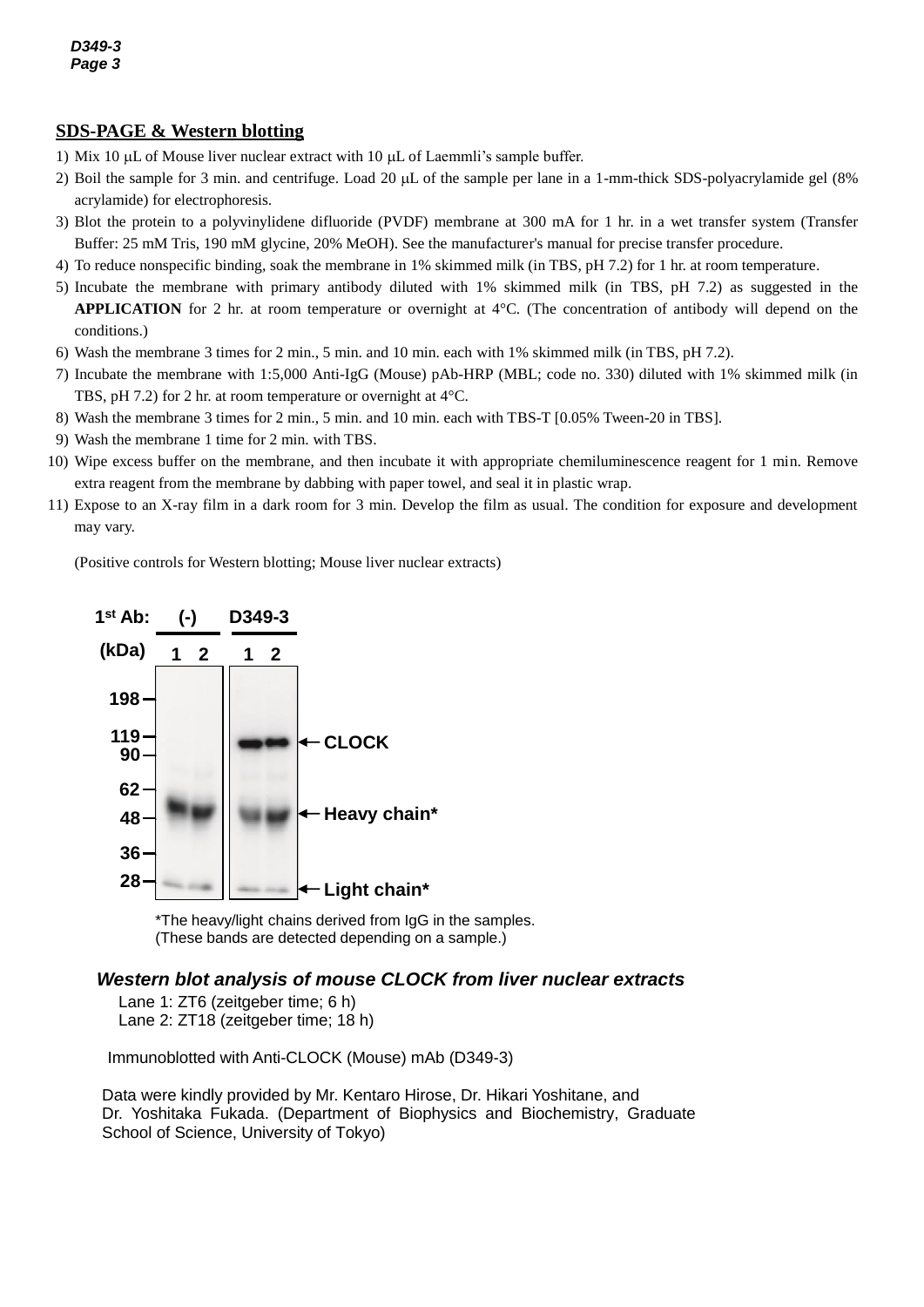## **SDS-PAGE & Western blotting**

- 1) Mix 10  $\mu$ L of Mouse liver nuclear extract with 10  $\mu$ L of Laemmli's sample buffer.
- 2) Boil the sample for 3 min. and centrifuge. Load 20  $\mu$ L of the sample per lane in a 1-mm-thick SDS-polyacrylamide gel (8% acrylamide) for electrophoresis.
- 3) Blot the protein to a polyvinylidene difluoride (PVDF) membrane at 300 mA for 1 hr. in a wet transfer system (Transfer Buffer: 25 mM Tris, 190 mM glycine, 20% MeOH). See the manufacturer's manual for precise transfer procedure.
- 4) To reduce nonspecific binding, soak the membrane in 1% skimmed milk (in TBS, pH 7.2) for 1 hr. at room temperature.
- 5) Incubate the membrane with primary antibody diluted with 1% skimmed milk (in TBS, pH 7.2) as suggested in the **APPLICATION** for 2 hr. at room temperature or overnight at 4°C. (The concentration of antibody will depend on the conditions.)
- 6) Wash the membrane 3 times for 2 min., 5 min. and 10 min. each with 1% skimmed milk (in TBS, pH 7.2).
- 7) Incubate the membrane with 1:5,000 Anti-IgG (Mouse) pAb-HRP (MBL; code no. 330) diluted with 1% skimmed milk (in TBS, pH 7.2) for 2 hr. at room temperature or overnight at 4°C.
- 8) Wash the membrane 3 times for 2 min., 5 min. and 10 min. each with TBS-T [0.05% Tween-20 in TBS].
- 9) Wash the membrane 1 time for 2 min. with TBS.
- 10) Wipe excess buffer on the membrane, and then incubate it with appropriate chemiluminescence reagent for 1 min. Remove extra reagent from the membrane by dabbing with paper towel, and seal it in plastic wrap.
- 11) Expose to an X-ray film in a dark room for 3 min. Develop the film as usual. The condition for exposure and development may vary.

(Positive controls for Western blotting; Mouse liver nuclear extracts)



\*The heavy/light chains derived from IgG in the samples. (These bands are detected depending on a sample.)

#### *Western blot analysis of mouse CLOCK from liver nuclear extracts*

Lane 1: ZT6 (zeitgeber time; 6 h) Lane 2: ZT18 (zeitgeber time; 18 h)

Immunoblotted with Anti-CLOCK (Mouse) mAb (D349-3)

Data were kindly provided by Mr. Kentaro Hirose, Dr. Hikari Yoshitane, and Dr. Yoshitaka Fukada. (Department of Biophysics and Biochemistry, Graduate School of Science, University of Tokyo)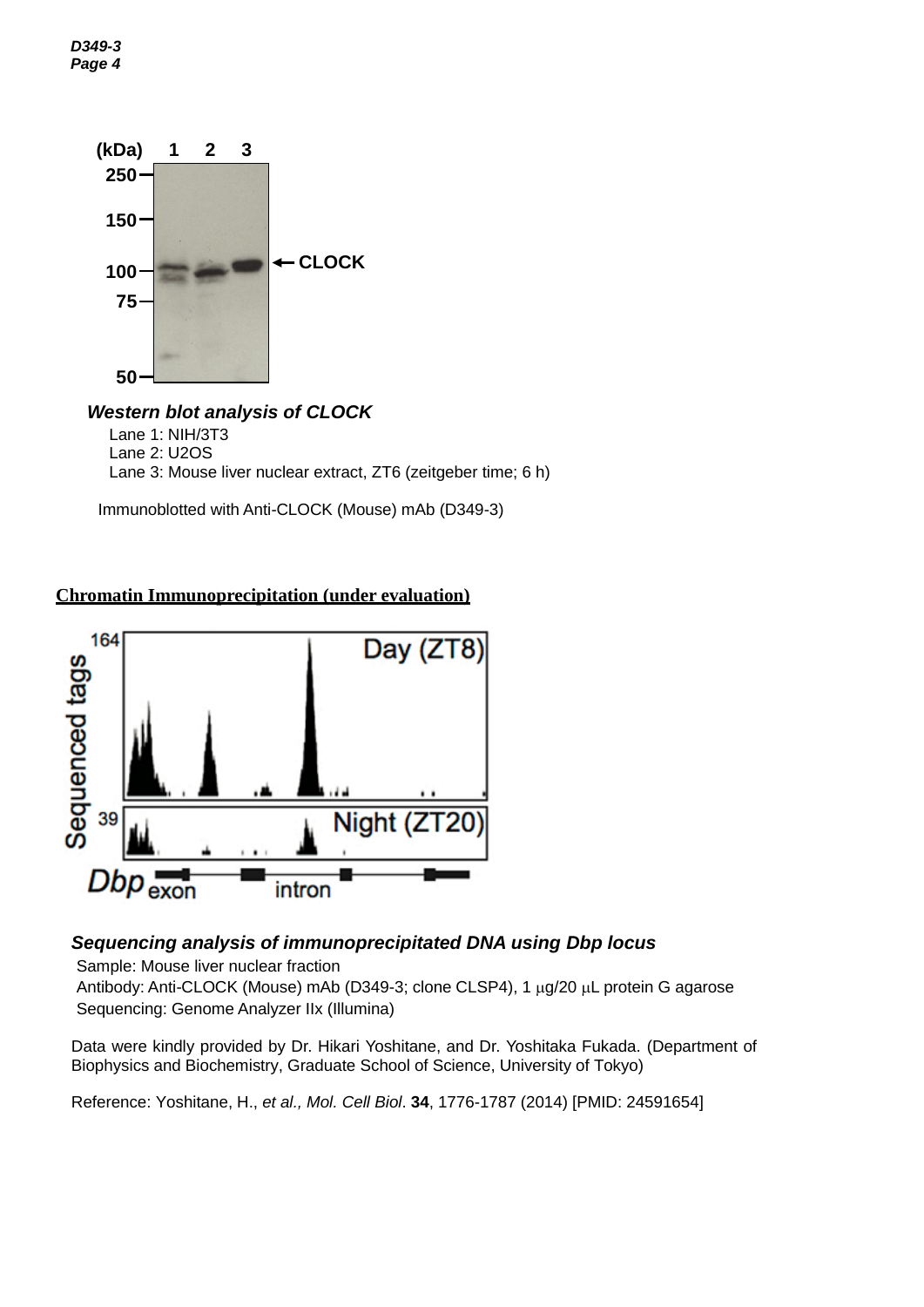



#### *Western blot analysis of CLOCK* Lane 1: NIH/3T3 Lane 2: U2OS Lane 3: Mouse liver nuclear extract, ZT6 (zeitgeber time; 6 h)

Immunoblotted with Anti-CLOCK (Mouse) mAb (D349-3)

# **Chromatin Immunoprecipitation (under evaluation)**



# *Sequencing analysis of immunoprecipitated DNA using Dbp locus*

Sample: Mouse liver nuclear fraction

Antibody: Anti-CLOCK (Mouse) mAb (D349-3; clone CLSP4), 1 µg/20 µL protein G agarose Sequencing: Genome Analyzer IIx (Illumina)

Data were kindly provided by Dr. Hikari Yoshitane, and Dr. Yoshitaka Fukada. (Department of Biophysics and Biochemistry, Graduate School of Science, University of Tokyo)

Reference: Yoshitane, H., *et al., Mol. Cell Biol*. **34**, 1776-1787 (2014) [PMID: 24591654]